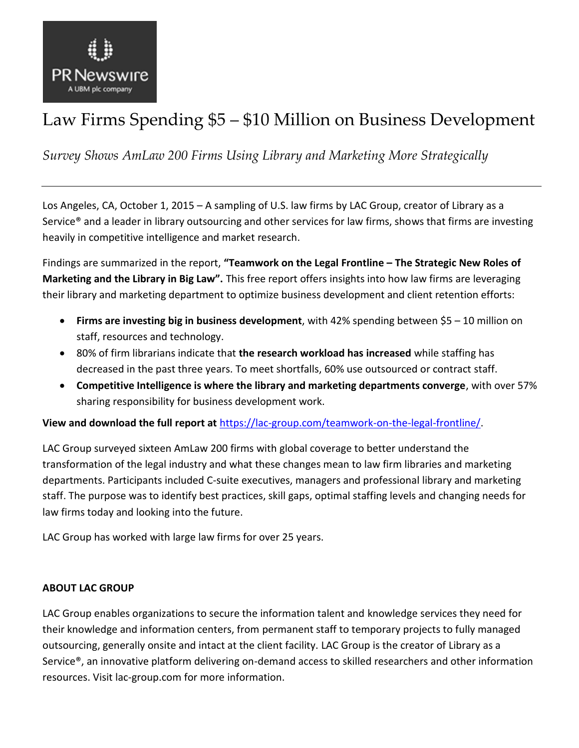

# Law Firms Spending \$5 – \$10 Million on Business Development

*Survey Shows AmLaw 200 Firms Using Library and Marketing More Strategically*

Los Angeles, CA, October 1, 2015 – A sampling of U.S. law firms by LAC Group, creator of Library as a Service® and a leader in library outsourcing and other services for law firms, shows that firms are investing heavily in competitive intelligence and market research.

Findings are summarized in the report, **"Teamwork on the Legal Frontline – The Strategic New Roles of Marketing and the Library in Big Law".** This free report offers insights into how law firms are leveraging their library and marketing department to optimize business development and client retention efforts:

- **Firms are investing big in business development**, with 42% spending between \$5 10 million on staff, resources and technology.
- 80% of firm librarians indicate that **the research workload has increased** while staffing has decreased in the past three years. To meet shortfalls, 60% use outsourced or contract staff.
- **Competitive Intelligence is where the library and marketing departments converge**, with over 57% sharing responsibility for business development work.

**View and download the full report at** [https://lac-group.com/teamwork-on-the-legal-frontline/.](https://lac-group.com/teamwork-on-the-legal-frontline/)

LAC Group surveyed sixteen AmLaw 200 firms with global coverage to better understand the transformation of the legal industry and what these changes mean to law firm libraries and marketing departments. Participants included C-suite executives, managers and professional library and marketing staff. The purpose was to identify best practices, skill gaps, optimal staffing levels and changing needs for law firms today and looking into the future.

LAC Group has worked with large law firms for over 25 years.

## **ABOUT LAC GROUP**

LAC Group enables organizations to secure the information talent and knowledge services they need for their knowledge and information centers, from permanent staff to temporary projects to fully managed outsourcing, generally onsite and intact at the client facility. LAC Group is the creator of Library as a Service®, an innovative platform delivering on-demand access to skilled researchers and other information resources. Visit lac-group.com for more information.